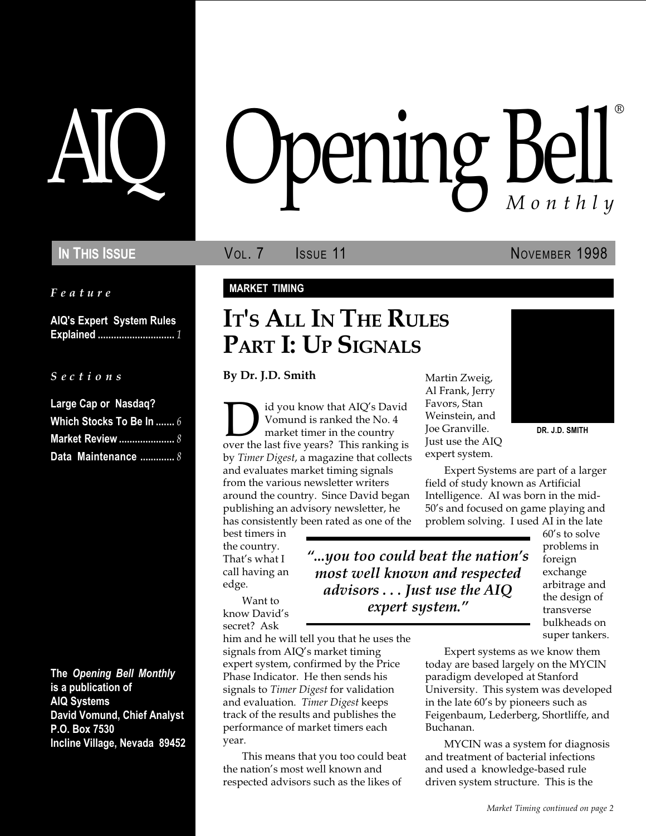Feature

AIQ's Expert System Rules Explained ............................. 1

S e c t i o n s

| Large Cap or Nasdaq?      |  |
|---------------------------|--|
| Which Stocks To Be In $6$ |  |
| Market Review  8          |  |
| Data Maintenance  8       |  |

The Opening Bell Monthly is a publication of AIQ Systems David Vomund, Chief Analyst P.O. Box 7530 Incline Village, Nevada 89452

# pening Bell ®

In This Issue **Vol. 7 State 11 November 1998** 

DR. J.D. SMITH

## MARKET TIMING

# IT'S ALL IN THE RULES PART I: UP SIGNALS

By Dr. J.D. Smith

**D** id you know that AIQ's David<br>
Vomund is ranked the No. 4<br>
over the last five years? This ranking is Vomund is ranked the No. 4 market timer in the country by Timer Digest, a magazine that collects and evaluates market timing signals from the various newsletter writers around the country. Since David began publishing an advisory newsletter, he has consistently been rated as one of the

best timers in the country. That's what I call having an edge.

Want to know David's

year.

"...you too could beat the nation's most well known and respected advisors . . . Just use the AIQ expert system.

Martin Zweig, Al Frank, Jerry Favors, Stan Weinstein, and Joe Granville. Just use the AIQ expert system.

Expert Systems are part of a larger field of study known as Artificial Intelligence. AI was born in the mid-50's and focused on game playing and problem solving. I used AI in the late

> $60's$  to solve problems in foreign exchange arbitrage and the design of transverse bulkheads on super tankers.

secret? Ask him and he will tell you that he uses the signals from AIO's market timing expert system, confirmed by the Price Phase Indicator. He then sends his signals to Timer Digest for validation and evaluation. Timer Digest keeps track of the results and publishes the performance of market timers each

This means that you too could beat the nation's most well known and respected advisors such as the likes of

Expert systems as we know them today are based largely on the MYCIN paradigm developed at Stanford University. This system was developed in the late  $60's$  by pioneers such as Feigenbaum, Lederberg, Shortliffe, and Buchanan.

MYCIN was a system for diagnosis and treatment of bacterial infections and used a knowledge-based rule driven system structure. This is the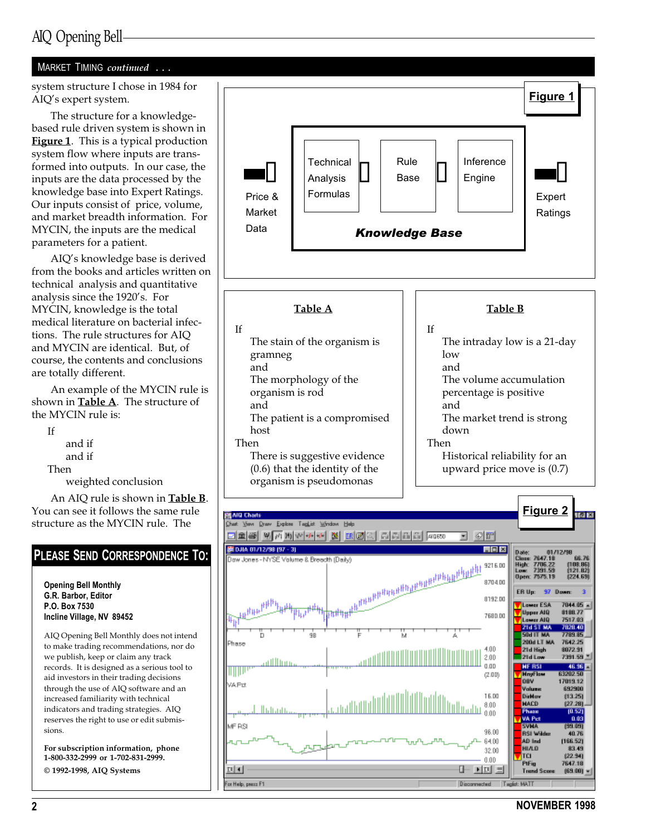# AIQ Opening Bell

#### MARKET TIMING continued ...

system structure I chose in 1984 for AIQ's expert system.

The structure for a knowledgebased rule driven system is shown in **Figure 1.** This is a typical production system flow where inputs are transformed into outputs. In our case, the inputs are the data processed by the knowledge base into Expert Ratings. Our inputs consist of price, volume, and market breadth information. For MYCIN, the inputs are the medical parameters for a patient.

Price & Market Data

If

**Technical** Analysis Formulas

Table A

The stain of the organism is

AIQ's knowledge base is derived from the books and articles written on technical analysis and quantitative analysis since the 1920's. For MYCIN, knowledge is the total medical literature on bacterial infections. The rule structures for AIQ and MYCIN are identical. But, of course, the contents and conclusions are totally different.

An example of the MYCIN rule is shown in Table A. The structure of the MYCIN rule is:

If and if and if Then

P.O. Box 7530

An AIQ rule is shown in Table B. You can see it follows the same rule structure as the MYCIN rule. The



 $\begin{bmatrix} \end{bmatrix}$   $\begin{bmatrix}$  rechilical  $\end{bmatrix}$   $\begin{bmatrix}$   $\begin{bmatrix}$   $\end{bmatrix}$  and  $\begin{bmatrix}$   $\end{bmatrix}$  and  $\begin{bmatrix}$   $\end{bmatrix}$  and  $\begin{bmatrix}$   $\end{bmatrix}$  and  $\begin{bmatrix}$   $\end{bmatrix}$  and  $\begin{bmatrix}$   $\end{bmatrix}$  and  $\begin{bmatrix}$   $\end{bmatrix}$  and  $\begin{bmatrix}$   $\end{b$ 

Inference Engine

Table B

The intraday low is a 21-day

Rule Base

Knowledge Base

If

Figure 1

Expert **Ratings** 

sions.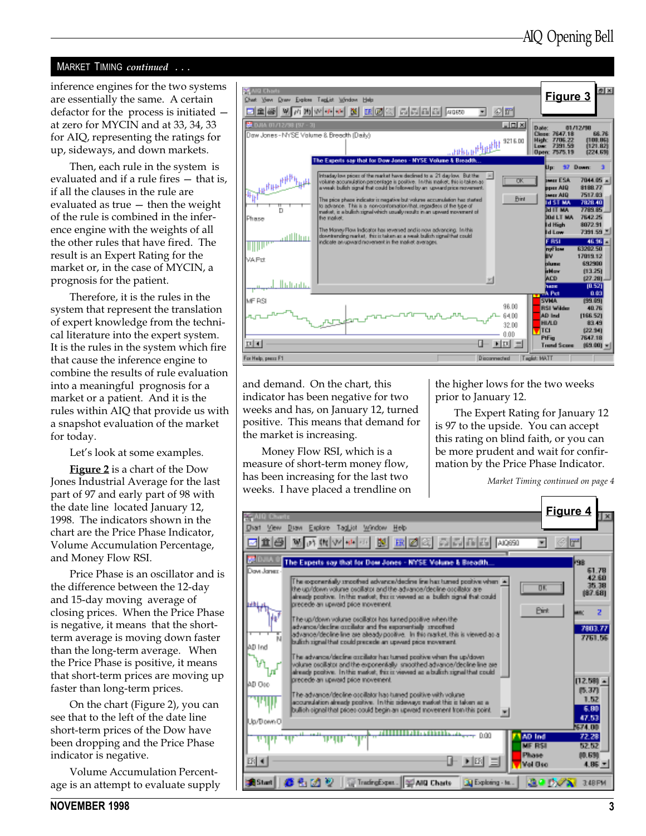#### MARKET TIMING continued ...

inference engines for the two systems are essentially the same. A certain defactor for the process is initiated at zero for MYCIN and at 33, 34, 33 for AIQ, representing the ratings for up, sideways, and down markets.

Then, each rule in the system is evaluated and if a rule fires  $-$  that is, if all the clauses in the rule are evaluated as true  $-$  then the weight of the rule is combined in the inference engine with the weights of all the other rules that have fired. The result is an Expert Rating for the market or, in the case of MYCIN, a prognosis for the patient.

Therefore, it is the rules in the system that represent the translation of expert knowledge from the technical literature into the expert system. It is the rules in the system which fire that cause the inference engine to combine the results of rule evaluation into a meaningful prognosis for a market or a patient. And it is the rules within AIQ that provide us with a snapshot evaluation of the market for today.

Let's look at some examples.

Figure 2 is a chart of the Dow Jones Industrial Average for the last part of 97 and early part of 98 with the date line located January 12, 1998. The indicators shown in the chart are the Price Phase Indicator, Volume Accumulation Percentage, and Money Flow RSI.

Price Phase is an oscillator and is the difference between the 12-day and 15-day moving average of closing prices. When the Price Phase is negative, it means that the shortterm average is moving down faster than the long-term average. When the Price Phase is positive, it means that short-term prices are moving up faster than long-term prices.

On the chart (Figure 2), you can see that to the left of the date line short-term prices of the Dow have been dropping and the Price Phase indicator is negative.

Volume Accumulation Percentage is an attempt to evaluate supply



and demand. On the chart, this indicator has been negative for two weeks and has, on January 12, turned positive. This means that demand for the market is increasing.

Money Flow RSI, which is a measure of short-term money flow, has been increasing for the last two weeks. I have placed a trendline on the higher lows for the two weeks prior to January 12.

The Expert Rating for January 12 is 97 to the upside. You can accept this rating on blind faith, or you can be more prudent and wait for confirmation by the Price Phase Indicator.

Market Timing continued on page 4

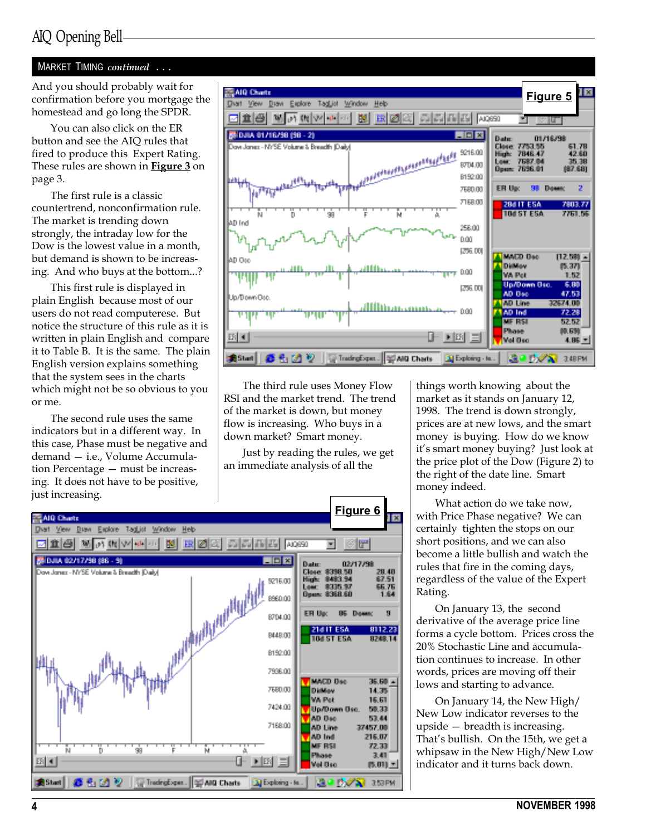#### MARKET TIMING continued ...

And you should probably wait for confirmation before you mortgage the homestead and go long the SPDR.

You can also click on the ER button and see the AIQ rules that fired to produce this Expert Rating. These rules are shown in **Figure 3** on page 3.

The first rule is a classic countertrend, nonconfirmation rule. The market is trending down strongly, the intraday low for the Dow is the lowest value in a month, but demand is shown to be increasing. And who buys at the bottom...?

This first rule is displayed in plain English because most of our users do not read computerese. But notice the structure of this rule as it is written in plain English and compare it to Table B. It is the same. The plain English version explains something that the system sees in the charts which might not be so obvious to you or me.

The second rule uses the same indicators but in a different way. In this case, Phase must be negative and demand - i.e., Volume Accumulation Percentage - must be increasing. It does not have to be positive, just increasing.



The third rule uses Money Flow RSI and the market trend. The trend of the market is down, but money flow is increasing. Who buys in a down market? Smart money.

Just by reading the rules, we get an immediate analysis of all the



things worth knowing about the market as it stands on January 12, 1998. The trend is down strongly, prices are at new lows, and the smart money is buying. How do we know it's smart money buying? Just look at the price plot of the Dow (Figure 2) to the right of the date line. Smart money indeed.

What action do we take now, with Price Phase negative? We can certainly tighten the stops on our short positions, and we can also become a little bullish and watch the rules that fire in the coming days, regardless of the value of the Expert Rating.

On January 13, the second derivative of the average price line forms a cycle bottom. Prices cross the 20% Stochastic Line and accumulation continues to increase. In other words, prices are moving off their lows and starting to advance.

On January 14, the New High/ New Low indicator reverses to the  $upside - breadth$  is increasing. That's bullish. On the 15th, we get a whipsaw in the New High/New Low indicator and it turns back down.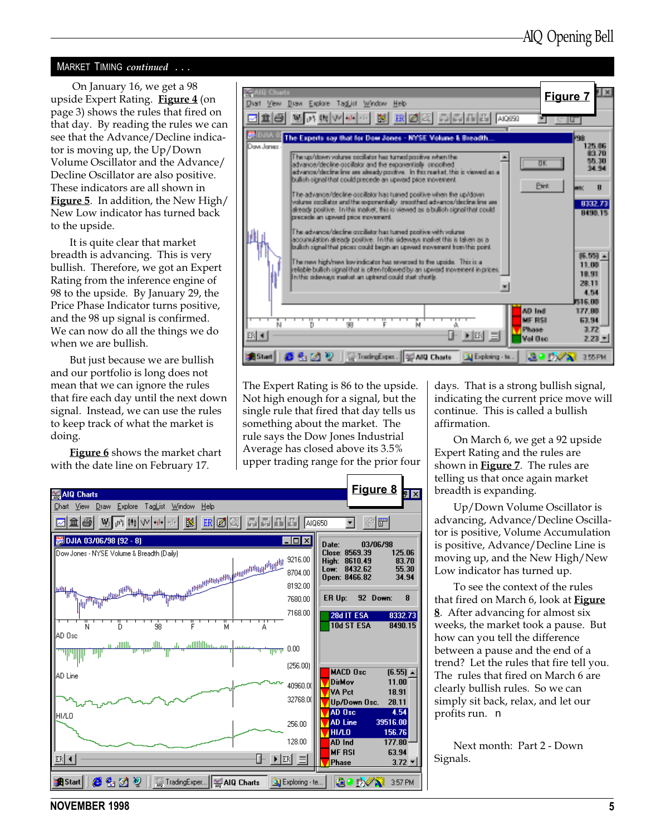#### MARKET TIMING continued ...

 On January 16, we get a 98 upside Expert Rating. Figure 4 (on page 3) shows the rules that fired on that day. By reading the rules we can see that the Advance/Decline indicator is moving up, the Up/Down Volume Oscillator and the Advance/ Decline Oscillator are also positive. These indicators are all shown in Figure 5. In addition, the New High/ New Low indicator has turned back to the upside.

It is quite clear that market breadth is advancing. This is very bullish. Therefore, we got an Expert Rating from the inference engine of 98 to the upside. By January 29, the Price Phase Indicator turns positive, and the 98 up signal is confirmed. We can now do all the things we do when we are bullish.

But just because we are bullish and our portfolio is long does not mean that we can ignore the rules that fire each day until the next down signal. Instead, we can use the rules to keep track of what the market is doing.

Figure 6 shows the market chart with the date line on February 17.



The Expert Rating is 86 to the upside. Not high enough for a signal, but the single rule that fired that day tells us something about the market. The rule says the Dow Jones Industrial Average has closed above its 3.5% upper trading range for the prior four



days. That is a strong bullish signal, indicating the current price move will continue. This is called a bullish affirmation.

On March 6, we get a 92 upside Expert Rating and the rules are shown in **Figure** 7. The rules are telling us that once again market breadth is expanding.

Up/Down Volume Oscillator is advancing, Advance/Decline Oscillator is positive, Volume Accumulation is positive, Advance/Decline Line is moving up, and the New High/New Low indicator has turned up.

To see the context of the rules that fired on March 6, look at **Figure** 8. After advancing for almost six weeks, the market took a pause. But how can you tell the difference between a pause and the end of a trend? Let the rules that fire tell you. The rules that fired on March 6 are clearly bullish rules. So we can simply sit back, relax, and let our profits run. n

Next month: Part 2 - Down Signals.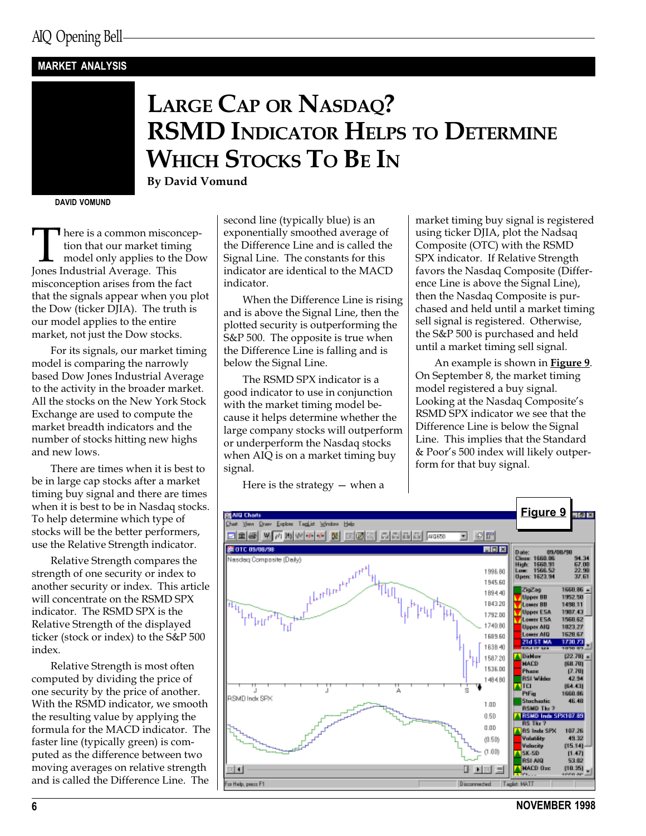#### MARKET ANALYSIS



# LARGE CAP OR NASDAQ? RSMD INDICATOR HELPS TO DETERMINE WHICH STOCKS TO BE IN By David Vomund

DAVID VOMUND

There is a common misconception that our market timing<br>
model only applies to the Dov<br>
Jones Industrial Average. This tion that our market timing model only applies to the Dow misconception arises from the fact that the signals appear when you plot the Dow (ticker DJIA). The truth is our model applies to the entire market, not just the Dow stocks.

For its signals, our market timing model is comparing the narrowly based Dow Jones Industrial Average to the activity in the broader market. All the stocks on the New York Stock Exchange are used to compute the market breadth indicators and the number of stocks hitting new highs and new lows.

There are times when it is best to be in large cap stocks after a market timing buy signal and there are times when it is best to be in Nasdaq stocks. To help determine which type of stocks will be the better performers, use the Relative Strength indicator.

Relative Strength compares the strength of one security or index to another security or index. This article will concentrate on the RSMD SPX indicator. The RSMD SPX is the Relative Strength of the displayed ticker (stock or index) to the S&P 500 index.

Relative Strength is most often computed by dividing the price of one security by the price of another. With the RSMD indicator, we smooth the resulting value by applying the formula for the MACD indicator. The faster line (typically green) is computed as the difference between two moving averages on relative strength and is called the Difference Line. The

second line (typically blue) is an exponentially smoothed average of the Difference Line and is called the Signal Line. The constants for this indicator are identical to the MACD indicator.

When the Difference Line is rising and is above the Signal Line, then the plotted security is outperforming the S&P 500. The opposite is true when the Difference Line is falling and is below the Signal Line.

The RSMD SPX indicator is a good indicator to use in conjunction with the market timing model because it helps determine whether the large company stocks will outperform or underperform the Nasdaq stocks when AIQ is on a market timing buy signal.

Here is the strategy  $-$  when a

market timing buy signal is registered using ticker DJIA, plot the Nadsaq Composite (OTC) with the RSMD SPX indicator. If Relative Strength favors the Nasdaq Composite (Difference Line is above the Signal Line), then the Nasdaq Composite is purchased and held until a market timing sell signal is registered. Otherwise, the S&P 500 is purchased and held until a market timing sell signal.

An example is shown in **Figure 9**. On September 8, the market timing model registered a buy signal. Looking at the Nasdaq Composite's RSMD SPX indicator we see that the Difference Line is below the Signal Line. This implies that the Standard & Poor's 500 index will likely outperform for that buy signal.

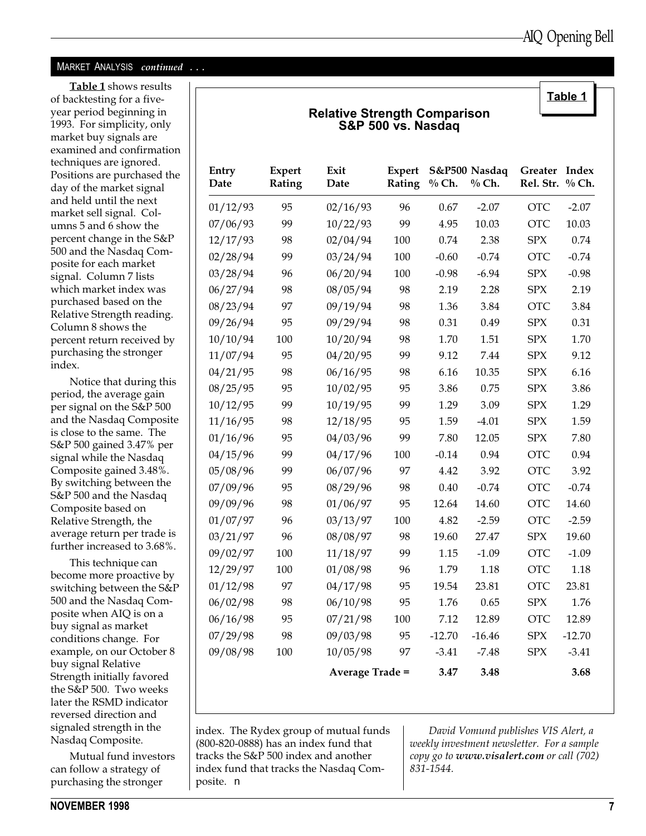Table 1

#### MARKET ANALYSIS continued ...

Table 1 shows results of backtesting for a fiveyear period beginning in 1993. For simplicity, only market buy signals are examined and confirmation techniques are ignored. Positions are purchased the day of the market signal and held until the next market sell signal. Columns 5 and 6 show the percent change in the S&P 500 and the Nasdaq Composite for each market signal. Column 7 lists which market index was purchased based on the Relative Strength reading. Column 8 shows the percent return received by purchasing the stronger index.

Notice that during this period, the average gain per signal on the S&P 500 and the Nasdaq Composite is close to the same. The S&P 500 gained 3.47% per signal while the Nasdaq Composite gained 3.48%. By switching between the S&P 500 and the Nasdaq Composite based on Relative Strength, the average return per trade is further increased to 3.68%.

This technique can become more proactive by switching between the S&P 500 and the Nasdaq Composite when AIQ is on a buy signal as market conditions change. For example, on our October 8 buy signal Relative Strength initially favored the S&P 500. Two weeks later the RSMD indicator reversed direction and signaled strength in the Nasdaq Composite.

Mutual fund investors can follow a strategy of purchasing the stronger

| <b>Relative Strength Comparison</b> |
|-------------------------------------|
| S&P 500 vs. Nasdaq                  |

| Entry<br>Date | <b>Expert</b><br>Rating | Exit<br>Date           | <b>Expert</b><br>Rating | $%$ Ch.  | S&P500 Nasdaq<br>$%$ Ch. | Greater<br>Rel. Str. | Index<br>$%$ Ch. |
|---------------|-------------------------|------------------------|-------------------------|----------|--------------------------|----------------------|------------------|
| 01/12/93      | 95                      | 02/16/93               | 96                      | 0.67     | $-2.07$                  | <b>OTC</b>           | $-2.07$          |
| 07/06/93      | 99                      | 10/22/93               | 99                      | 4.95     | 10.03                    | <b>OTC</b>           | 10.03            |
| 12/17/93      | 98                      | 02/04/94               | 100                     | 0.74     | 2.38                     | <b>SPX</b>           | 0.74             |
| 02/28/94      | 99                      | 03/24/94               | 100                     | $-0.60$  | $-0.74$                  | <b>OTC</b>           | $-0.74$          |
| 03/28/94      | 96                      | 06/20/94               | 100                     | $-0.98$  | $-6.94$                  | <b>SPX</b>           | $-0.98$          |
| 06/27/94      | 98                      | 08/05/94               | 98                      | 2.19     | 2.28                     | <b>SPX</b>           | 2.19             |
| 08/23/94      | 97                      | 09/19/94               | 98                      | 1.36     | 3.84                     | <b>OTC</b>           | 3.84             |
| 09/26/94      | 95                      | 09/29/94               | 98                      | 0.31     | 0.49                     | <b>SPX</b>           | 0.31             |
| 10/10/94      | 100                     | 10/20/94               | 98                      | 1.70     | 1.51                     | <b>SPX</b>           | 1.70             |
| 11/07/94      | 95                      | 04/20/95               | 99                      | 9.12     | 7.44                     | <b>SPX</b>           | 9.12             |
| 04/21/95      | 98                      | 06/16/95               | 98                      | 6.16     | 10.35                    | <b>SPX</b>           | 6.16             |
| 08/25/95      | 95                      | 10/02/95               | 95                      | 3.86     | 0.75                     | <b>SPX</b>           | 3.86             |
| 10/12/95      | 99                      | 10/19/95               | 99                      | 1.29     | 3.09                     | <b>SPX</b>           | 1.29             |
| 11/16/95      | 98                      | 12/18/95               | 95                      | 1.59     | $-4.01$                  | <b>SPX</b>           | 1.59             |
| 01/16/96      | 95                      | 04/03/96               | 99                      | 7.80     | 12.05                    | <b>SPX</b>           | 7.80             |
| 04/15/96      | 99                      | 04/17/96               | 100                     | $-0.14$  | 0.94                     | <b>OTC</b>           | 0.94             |
| 05/08/96      | 99                      | 06/07/96               | 97                      | 4.42     | 3.92                     | <b>OTC</b>           | 3.92             |
| 07/09/96      | 95                      | 08/29/96               | 98                      | 0.40     | $-0.74$                  | <b>OTC</b>           | $-0.74$          |
| 09/09/96      | 98                      | 01/06/97               | 95                      | 12.64    | 14.60                    | <b>OTC</b>           | 14.60            |
| 01/07/97      | 96                      | 03/13/97               | 100                     | 4.82     | $-2.59$                  | <b>OTC</b>           | $-2.59$          |
| 03/21/97      | 96                      | 08/08/97               | 98                      | 19.60    | 27.47                    | <b>SPX</b>           | 19.60            |
| 09/02/97      | 100                     | 11/18/97               | 99                      | 1.15     | $-1.09$                  | <b>OTC</b>           | $-1.09$          |
| 12/29/97      | 100                     | 01/08/98               | 96                      | 1.79     | 1.18                     | <b>OTC</b>           | 1.18             |
| 01/12/98      | 97                      | 04/17/98               | 95                      | 19.54    | 23.81                    | <b>OTC</b>           | 23.81            |
| 06/02/98      | 98                      | 06/10/98               | 95                      | 1.76     | 0.65                     | <b>SPX</b>           | 1.76             |
| 06/16/98      | 95                      | 07/21/98               | 100                     | 7.12     | 12.89                    | <b>OTC</b>           | 12.89            |
| 07/29/98      | 98                      | 09/03/98               | 95                      | $-12.70$ | $-16.46$                 | <b>SPX</b>           | $-12.70$         |
| 09/08/98      | 100                     | 10/05/98               | 97                      | $-3.41$  | $-7.48$                  | <b>SPX</b>           | $-3.41$          |
|               |                         | <b>Average Trade =</b> |                         | 3.47     | 3.48                     |                      | 3.68             |

index. The Rydex group of mutual funds (800-820-0888) has an index fund that tracks the S&P 500 index and another index fund that tracks the Nasdaq Composite. n

David Vomund publishes VIS Alert, a weekly investment newsletter. For a sample copy go to  $www.vis alert.com$  or call  $(702)$ 831-1544.